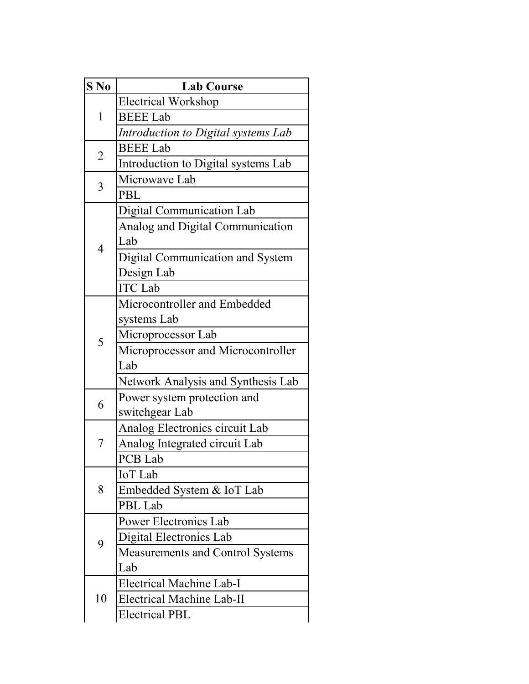| $S$ No         | <b>Lab Course</b>                   |  |  |
|----------------|-------------------------------------|--|--|
| 1              | <b>Electrical Workshop</b>          |  |  |
|                | <b>BEEE Lab</b>                     |  |  |
|                | Introduction to Digital systems Lab |  |  |
| $\overline{2}$ | <b>BEEE Lab</b>                     |  |  |
|                | Introduction to Digital systems Lab |  |  |
| 3              | Microwave Lab                       |  |  |
|                | PBL                                 |  |  |
| $\overline{4}$ | Digital Communication Lab           |  |  |
|                | Analog and Digital Communication    |  |  |
|                | Lab                                 |  |  |
|                | Digital Communication and System    |  |  |
|                | Design Lab                          |  |  |
|                | <b>ITC</b> Lab                      |  |  |
|                | Microcontroller and Embedded        |  |  |
| 5              | systems Lab                         |  |  |
|                | Microprocessor Lab                  |  |  |
|                | Microprocessor and Microcontroller  |  |  |
|                | Lab                                 |  |  |
|                | Network Analysis and Synthesis Lab  |  |  |
| 6              | Power system protection and         |  |  |
|                | switchgear Lab                      |  |  |
|                | Analog Electronics circuit Lab      |  |  |
| 7              | Analog Integrated circuit Lab       |  |  |
|                | PCB Lab                             |  |  |
| 8              | <b>IoT</b> Lab                      |  |  |
|                | Embedded System & IoT Lab           |  |  |
|                | PBL Lab                             |  |  |
| 9              | Power Electronics Lab               |  |  |
|                | Digital Electronics Lab             |  |  |
|                | Measurements and Control Systems    |  |  |
|                | Lab                                 |  |  |
| 10             | <b>Electrical Machine Lab-I</b>     |  |  |
|                | <b>Electrical Machine Lab-II</b>    |  |  |
|                | <b>Electrical PBL</b>               |  |  |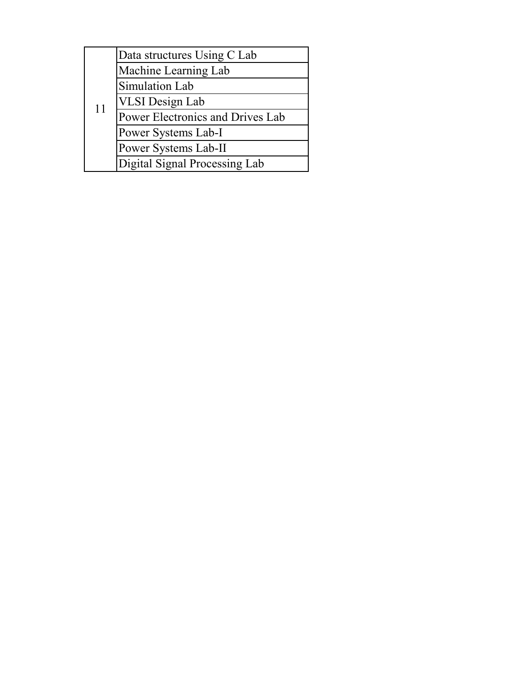|    | Data structures Using C Lab      |
|----|----------------------------------|
| 11 | Machine Learning Lab             |
|    | Simulation Lab                   |
|    | <b>VLSI</b> Design Lab           |
|    | Power Electronics and Drives Lab |
|    | Power Systems Lab-I              |
|    | Power Systems Lab-II             |
|    | Digital Signal Processing Lab    |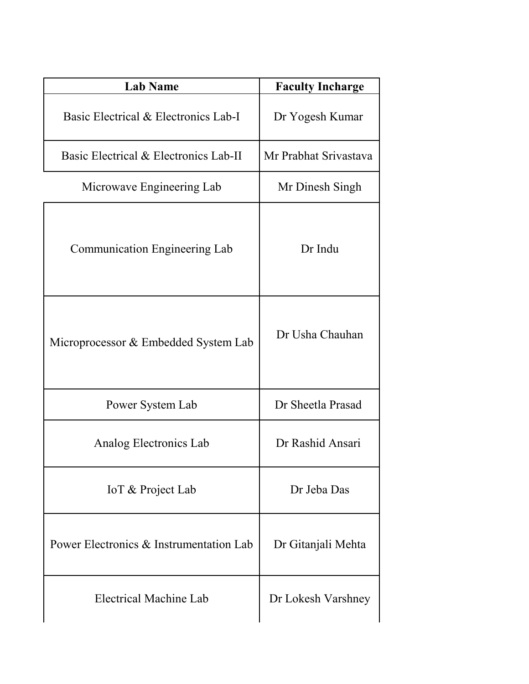| <b>Lab Name</b>                         | <b>Faculty Incharge</b> |  |
|-----------------------------------------|-------------------------|--|
| Basic Electrical & Electronics Lab-I    | Dr Yogesh Kumar         |  |
| Basic Electrical & Electronics Lab-II   | Mr Prabhat Srivastava   |  |
| Microwave Engineering Lab               | Mr Dinesh Singh         |  |
| Communication Engineering Lab           | Dr Indu                 |  |
| Microprocessor & Embedded System Lab    | Dr Usha Chauhan         |  |
| Power System Lab                        | Dr Sheetla Prasad       |  |
| Analog Electronics Lab                  | Dr Rashid Ansari        |  |
| IoT & Project Lab                       | Dr Jeba Das             |  |
| Power Electronics & Instrumentation Lab | Dr Gitanjali Mehta      |  |
| Electrical Machine Lab                  | Dr Lokesh Varshney      |  |